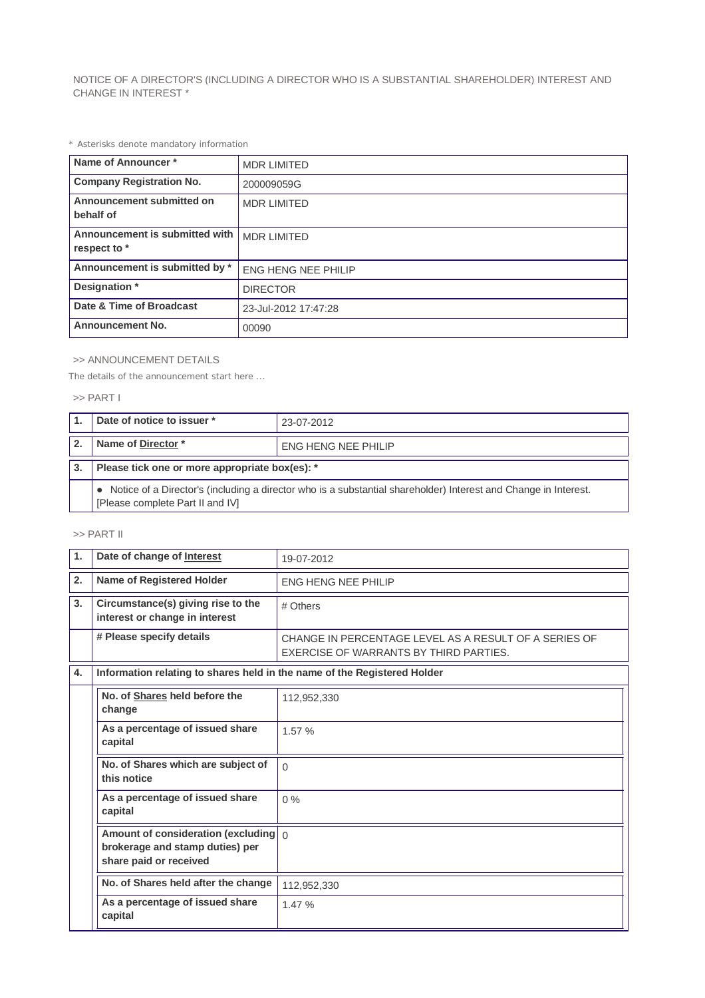NOTICE OF A DIRECTOR'S (INCLUDING A DIRECTOR WHO IS A SUBSTANTIAL SHAREHOLDER) INTEREST AND CHANGE IN INTEREST \*

*\* Asterisks denote mandatory information*

| Name of Announcer*                             | <b>MDR LIMITED</b>         |
|------------------------------------------------|----------------------------|
| <b>Company Registration No.</b>                | 200009059G                 |
| Announcement submitted on<br>behalf of         | <b>MDR LIMITED</b>         |
| Announcement is submitted with<br>respect to * | <b>MDR LIMITED</b>         |
| Announcement is submitted by *                 | <b>ENG HENG NEE PHILIP</b> |
| Designation *                                  | <b>DIRECTOR</b>            |
| Date & Time of Broadcast                       | 23-Jul-2012 17:47:28       |
| <b>Announcement No.</b>                        | 00090                      |

## >> ANNOUNCEMENT DETAILS

*The details of the announcement start here ...*

## >> PART I

| Date of notice to issuer *                                                                                                                            | 23-07-2012                 |  |
|-------------------------------------------------------------------------------------------------------------------------------------------------------|----------------------------|--|
| Name of Director *                                                                                                                                    | <b>ENG HENG NEE PHILIP</b> |  |
| Please tick one or more appropriate box(es): *                                                                                                        |                            |  |
| • Notice of a Director's (including a director who is a substantial shareholder) Interest and Change in Interest.<br>[Please complete Part II and IV] |                            |  |

## >> PART II

| $\mathbf 1$ .                                      | Date of change of Interest                                                                                 | 19-07-2012                                                                                      |  |
|----------------------------------------------------|------------------------------------------------------------------------------------------------------------|-------------------------------------------------------------------------------------------------|--|
| 2.                                                 | <b>Name of Registered Holder</b>                                                                           | <b>ENG HENG NEE PHILIP</b>                                                                      |  |
| 3.                                                 | Circumstance(s) giving rise to the<br>interest or change in interest                                       | # Others                                                                                        |  |
|                                                    | # Please specify details                                                                                   | CHANGE IN PERCENTAGE LEVEL AS A RESULT OF A SERIES OF<br>EXERCISE OF WARRANTS BY THIRD PARTIES. |  |
| 4.                                                 | Information relating to shares held in the name of the Registered Holder                                   |                                                                                                 |  |
|                                                    | No. of Shares held before the<br>change                                                                    | 112,952,330                                                                                     |  |
|                                                    | As a percentage of issued share<br>capital                                                                 | 1.57%                                                                                           |  |
|                                                    | No. of Shares which are subject of<br>this notice                                                          | $\Omega$                                                                                        |  |
|                                                    | As a percentage of issued share<br>capital                                                                 | $0\%$                                                                                           |  |
|                                                    | Amount of consideration (excluding $\int_0^1$<br>brokerage and stamp duties) per<br>share paid or received |                                                                                                 |  |
| No. of Shares held after the change<br>112,952,330 |                                                                                                            |                                                                                                 |  |
|                                                    | As a percentage of issued share<br>capital                                                                 | 1.47%                                                                                           |  |